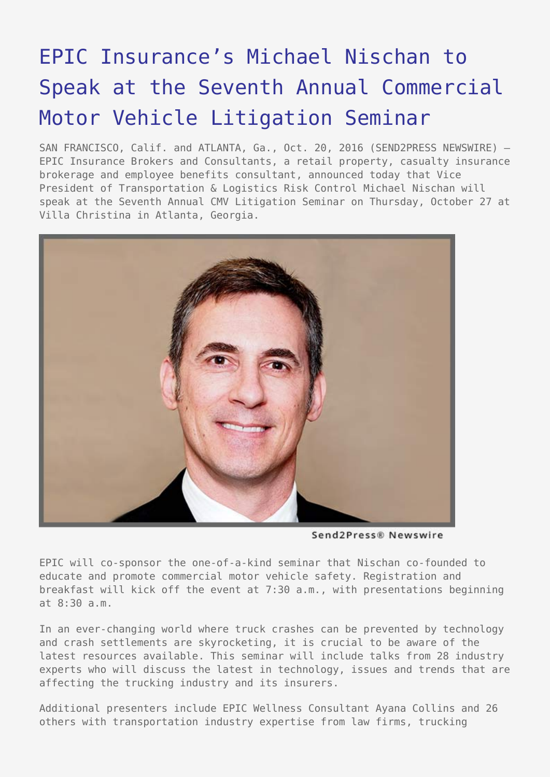## [EPIC Insurance's Michael Nischan to](https://www.send2press.com/wire/epic-insurances-michael-nischan-to-speak-at-the-seventh-annual-commercial-motor-vehicle-litigation-seminar/) [Speak at the Seventh Annual Commercial](https://www.send2press.com/wire/epic-insurances-michael-nischan-to-speak-at-the-seventh-annual-commercial-motor-vehicle-litigation-seminar/) [Motor Vehicle Litigation Seminar](https://www.send2press.com/wire/epic-insurances-michael-nischan-to-speak-at-the-seventh-annual-commercial-motor-vehicle-litigation-seminar/)

SAN FRANCISCO, Calif. and ATLANTA, Ga., Oct. 20, 2016 (SEND2PRESS NEWSWIRE) -EPIC Insurance Brokers and Consultants, a retail property, casualty insurance brokerage and employee benefits consultant, announced today that Vice President of Transportation & Logistics Risk Control Michael Nischan will speak at the Seventh Annual CMV Litigation Seminar on Thursday, October 27 at Villa Christina in Atlanta, Georgia.



Send2Press® Newswire

EPIC will co-sponsor the one-of-a-kind seminar that Nischan co-founded to educate and promote commercial motor vehicle safety. Registration and breakfast will kick off the event at 7:30 a.m., with presentations beginning at 8:30 a.m.

In an ever-changing world where truck crashes can be prevented by technology and crash settlements are skyrocketing, it is crucial to be aware of the latest resources available. This seminar will include talks from 28 industry experts who will discuss the latest in technology, issues and trends that are affecting the trucking industry and its insurers.

Additional presenters include EPIC Wellness Consultant Ayana Collins and 26 others with transportation industry expertise from law firms, trucking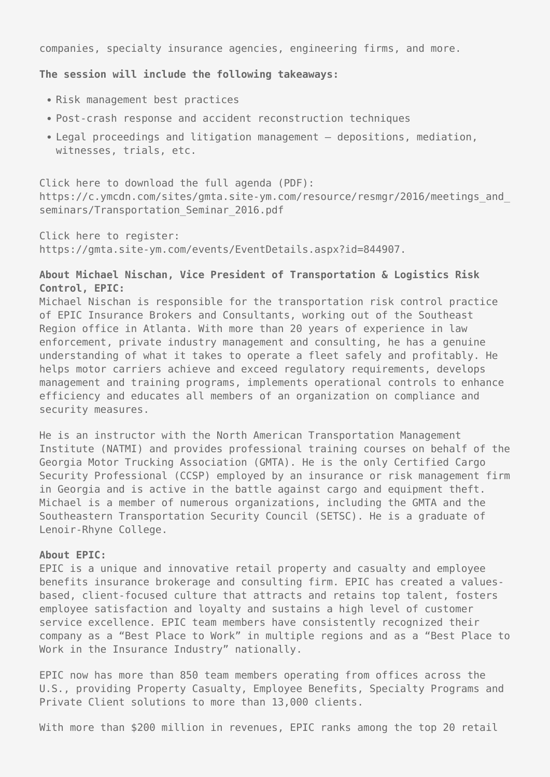companies, specialty insurance agencies, engineering firms, and more.

**The session will include the following takeaways:**

- Risk management best practices
- Post-crash response and accident reconstruction techniques
- Legal proceedings and litigation management depositions, mediation, witnesses, trials, etc.

Click here to download the full agenda (PDF): https://c.ymcdn.com/sites/gmta.site-ym.com/resource/resmgr/2016/meetings\_and\_ seminars/Transportation Seminar 2016.pdf

Click here to register: https://gmta.site-ym.com/events/EventDetails.aspx?id=844907.

## **About Michael Nischan, Vice President of Transportation & Logistics Risk Control, EPIC:**

Michael Nischan is responsible for the transportation risk control practice of EPIC Insurance Brokers and Consultants, working out of the Southeast Region office in Atlanta. With more than 20 years of experience in law enforcement, private industry management and consulting, he has a genuine understanding of what it takes to operate a fleet safely and profitably. He helps motor carriers achieve and exceed regulatory requirements, develops management and training programs, implements operational controls to enhance efficiency and educates all members of an organization on compliance and security measures.

He is an instructor with the North American Transportation Management Institute (NATMI) and provides professional training courses on behalf of the Georgia Motor Trucking Association (GMTA). He is the only Certified Cargo Security Professional (CCSP) employed by an insurance or risk management firm in Georgia and is active in the battle against cargo and equipment theft. Michael is a member of numerous organizations, including the GMTA and the Southeastern Transportation Security Council (SETSC). He is a graduate of Lenoir-Rhyne College.

## **About EPIC:**

EPIC is a unique and innovative retail property and casualty and employee benefits insurance brokerage and consulting firm. EPIC has created a valuesbased, client-focused culture that attracts and retains top talent, fosters employee satisfaction and loyalty and sustains a high level of customer service excellence. EPIC team members have consistently recognized their company as a "Best Place to Work" in multiple regions and as a "Best Place to Work in the Insurance Industry" nationally.

EPIC now has more than 850 team members operating from offices across the U.S., providing Property Casualty, Employee Benefits, Specialty Programs and Private Client solutions to more than 13,000 clients.

With more than \$200 million in revenues, EPIC ranks among the top 20 retail